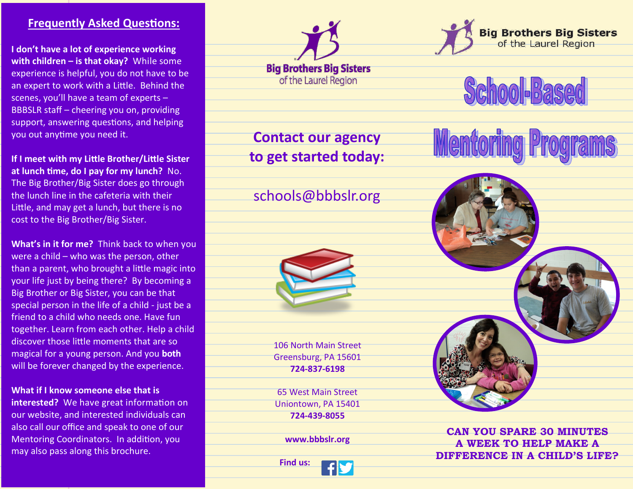#### **Frequently Asked Questions:**

**I don't have a lot of experience working with children – is that okay?** While some experience is helpful, you do not have to be an expert to work with a Little. Behind the scenes, you'll have a team of experts – BBBSLR staff – cheering you on, providing support, answering questions, and helping you out anytime you need it.

**If I meet with my Little Brother/Little Sister at lunch time, do I pay for my lunch?** No. The Big Brother/Big Sister does go through the lunch line in the cafeteria with their Little, and may get a lunch, but there is no cost to the Big Brother/Big Sister.

**What's in it for me?** Think back to when you were a child – who was the person, other than a parent, who brought a little magic into your life just by being there? By becoming a Big Brother or Big Sister, you can be that special person in the life of a child - just be a friend to a child who needs one. Have fun together. Learn from each other. Help a child discover those little moments that are so magical for a young person. And you **both** will be forever changed by the experience.

#### **What if I know someone else that is**

**interested?** We have great information on our website, and interested individuals can also call our office and speak to one of our Mentoring Coordinators. In addition, you may also pass along this brochure.



**Contact our agency to get started today:**

## schools@bbbslr.org



106 North Main Street Greensburg, PA 15601 **724-837-6198**

65 West Main Street Uniontown, PA 15401 **724-439-8055**

**www.bbbslr.org**

 **Find us:**





**Mentoring** 



**CAN YOU SPARE 30 MINUTES A WEEK TO HELP MAKE A DIFFERENCE IN A CHILD'S LIFE?**